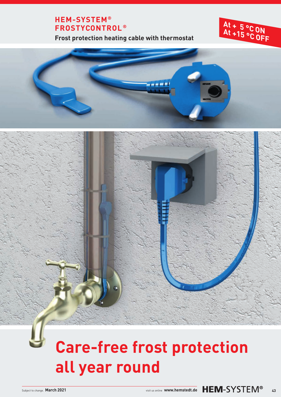## **HEM-SYSTEM® FROSTYCONTROL ®**

**Frost protection heating cable with thermostat**

#### **A A t <sup>t</sup> <sup>+</sup> <sup>5</sup> °C ON +15 °C OFF**



# **Care-free frost protection all year round**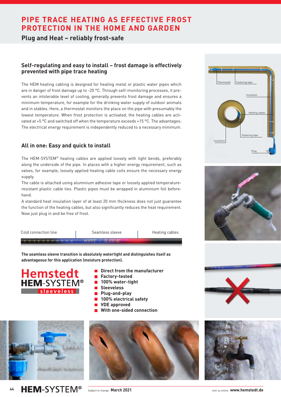## **PIPE TRACE HEATING AS EFFECTIVE FROST PROTECTION IN THE HOME AND GARDEN**

**Plug and Heat – reliably frost-safe**

#### **Self-regulating and easy to install – frost damage is effectively prevented with pipe trace heating**

The HEM heating cabling is designed for heating metal or plastic water pipes which are in danger of frost damage up to -20 °C. Through self-monitoring processes, it prevents an intolerable level of cooling, generally prevents frost damage and ensures a minimum temperature, for example for the drinking water supply of outdoor animals and in stables. Here, a thermostat monitors the place on the pipe with presumably the lowest temperature. When frost protection is activated, the heating cables are activated at +5 °C and switched off when the temperature exceeds +15 °C. The advantages: The electrical energy requirement is independently reduced to a necessary minimum.

### **All in one: Easy and quick to install**

The HEM-SYSTEM® heating cables are applied loosely with light bends, preferably along the underside of the pipe. In places with a higher energy requirement, such as valves, for example, loosely applied heating cable coils ensure the necessary energy supply.

The cable is attached using aluminium adhesive tape or loosely applied temperatureresistant plastic cable ties. Plastic pipes must be wrapped in aluminium foil beforehand.

A standard heat insulation layer of at least 20 mm thickness does not just guarantee the function of the heating cables, but also significantly reduces the heat requirement. Now just plug in and be free of frost.



**The seamless sleeve transition is absolutely watertight and distinguishes itself as advantageous for this application (moisture protection).**



- $\blacksquare$  Direct from the manufacturer
- **Factory-tested**
- **100% water-tight**
- **Sleeveless**
- **Plug-and-play**
- $\blacksquare$  **100% electrical safety**
- **VDE approved**
- **With one-sided connection**



**HEM-SYSTEM® 44**